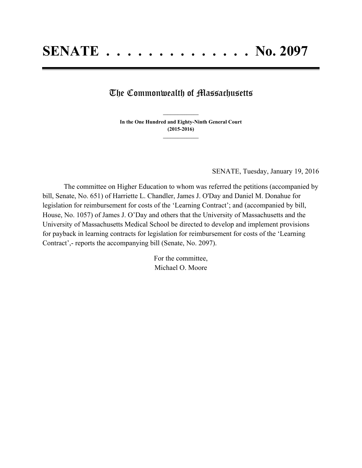## The Commonwealth of Massachusetts

**In the One Hundred and Eighty-Ninth General Court (2015-2016) \_\_\_\_\_\_\_\_\_\_\_\_\_\_\_**

**\_\_\_\_\_\_\_\_\_\_\_\_\_\_\_**

SENATE, Tuesday, January 19, 2016

The committee on Higher Education to whom was referred the petitions (accompanied by bill, Senate, No. 651) of Harriette L. Chandler, James J. O'Day and Daniel M. Donahue for legislation for reimbursement for costs of the 'Learning Contract'; and (accompanied by bill, House, No. 1057) of James J. O'Day and others that the University of Massachusetts and the University of Massachusetts Medical School be directed to develop and implement provisions for payback in learning contracts for legislation for reimbursement for costs of the 'Learning Contract',- reports the accompanying bill (Senate, No. 2097).

> For the committee, Michael O. Moore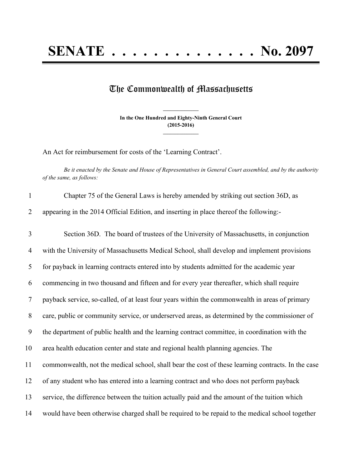## **SENATE . . . . . . . . . . . . . . No. 2097**

## The Commonwealth of Massachusetts

**In the One Hundred and Eighty-Ninth General Court (2015-2016) \_\_\_\_\_\_\_\_\_\_\_\_\_\_\_**

**\_\_\_\_\_\_\_\_\_\_\_\_\_\_\_**

An Act for reimbursement for costs of the 'Learning Contract'.

Be it enacted by the Senate and House of Representatives in General Court assembled, and by the authority *of the same, as follows:*

| $\mathbf{1}$   | Chapter 75 of the General Laws is hereby amended by striking out section 36D, as                   |
|----------------|----------------------------------------------------------------------------------------------------|
| 2              | appearing in the 2014 Official Edition, and inserting in place thereof the following:-             |
| 3              | Section 36D. The board of trustees of the University of Massachusetts, in conjunction              |
| 4              | with the University of Massachusetts Medical School, shall develop and implement provisions        |
| 5              | for payback in learning contracts entered into by students admitted for the academic year          |
| 6              | commencing in two thousand and fifteen and for every year thereafter, which shall require          |
| $\overline{7}$ | payback service, so-called, of at least four years within the commonwealth in areas of primary     |
| $8\phantom{.}$ | care, public or community service, or underserved areas, as determined by the commissioner of      |
| 9              | the department of public health and the learning contract committee, in coordination with the      |
| 10             | area health education center and state and regional health planning agencies. The                  |
| 11             | commonwealth, not the medical school, shall bear the cost of these learning contracts. In the case |
| 12             | of any student who has entered into a learning contract and who does not perform payback           |
| 13             | service, the difference between the tuition actually paid and the amount of the tuition which      |
| 14             | would have been otherwise charged shall be required to be repaid to the medical school together    |